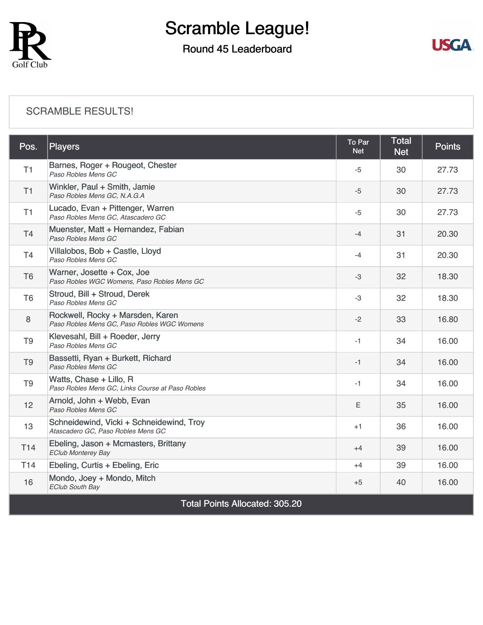

## Round 45 Leaderboard



#### [SCRAMBLE RESULTS!](https://cdn2.golfgenius.com/v2tournaments/8184375786019536842?called_from=&round_index=45)

| Pos.                                  | <b>Players</b>                                                                  | To Par<br><b>Net</b> | <b>Total</b><br><b>Net</b> | <b>Points</b> |  |  |
|---------------------------------------|---------------------------------------------------------------------------------|----------------------|----------------------------|---------------|--|--|
| T1                                    | Barnes, Roger + Rougeot, Chester<br>Paso Robles Mens GC                         | -5                   | 30                         | 27.73         |  |  |
| T1                                    | Winkler, Paul + Smith, Jamie<br>Paso Robles Mens GC, N.A.G.A                    | $-5$                 | 30                         | 27.73         |  |  |
| T1                                    | Lucado, Evan + Pittenger, Warren<br>Paso Robles Mens GC, Atascadero GC          | $-5$                 | 30                         | 27.73         |  |  |
| <b>T4</b>                             | Muenster, Matt + Hernandez, Fabian<br>Paso Robles Mens GC                       | $-4$                 | 31                         | 20.30         |  |  |
| T <sub>4</sub>                        | Villalobos, Bob + Castle, Lloyd<br>Paso Robles Mens GC                          | $-4$                 | 31                         | 20.30         |  |  |
| T <sub>6</sub>                        | Warner, Josette + Cox, Joe<br>Paso Robles WGC Womens, Paso Robles Mens GC       | -3                   | 32                         | 18.30         |  |  |
| T <sub>6</sub>                        | Stroud, Bill + Stroud, Derek<br>Paso Robles Mens GC                             | -3                   | 32                         | 18.30         |  |  |
| 8                                     | Rockwell, Rocky + Marsden, Karen<br>Paso Robles Mens GC, Paso Robles WGC Womens | $-2$                 | 33                         | 16.80         |  |  |
| T <sub>9</sub>                        | Klevesahl, Bill + Roeder, Jerry<br>Paso Robles Mens GC                          | $-1$                 | 34                         | 16.00         |  |  |
| T <sub>9</sub>                        | Bassetti, Ryan + Burkett, Richard<br>Paso Robles Mens GC                        | $-1$                 | 34                         | 16.00         |  |  |
| T <sub>9</sub>                        | Watts, Chase + Lillo, R<br>Paso Robles Mens GC, Links Course at Paso Robles     | $-1$                 | 34                         | 16.00         |  |  |
| 12                                    | Arnold, John + Webb, Evan<br>Paso Robles Mens GC                                | E                    | 35                         | 16.00         |  |  |
| 13                                    | Schneidewind, Vicki + Schneidewind, Troy<br>Atascadero GC, Paso Robles Mens GC  | $+1$                 | 36                         | 16.00         |  |  |
| T <sub>14</sub>                       | Ebeling, Jason + Mcmasters, Brittany<br><b>EClub Monterey Bay</b>               | $+4$                 | 39                         | 16.00         |  |  |
| T <sub>14</sub>                       | Ebeling, Curtis + Ebeling, Eric                                                 | $+4$                 | 39                         | 16.00         |  |  |
| 16                                    | Mondo, Joey + Mondo, Mitch<br><b>EClub South Bay</b>                            | $+5$                 | 40                         | 16.00         |  |  |
| <b>Total Points Allocated: 305.20</b> |                                                                                 |                      |                            |               |  |  |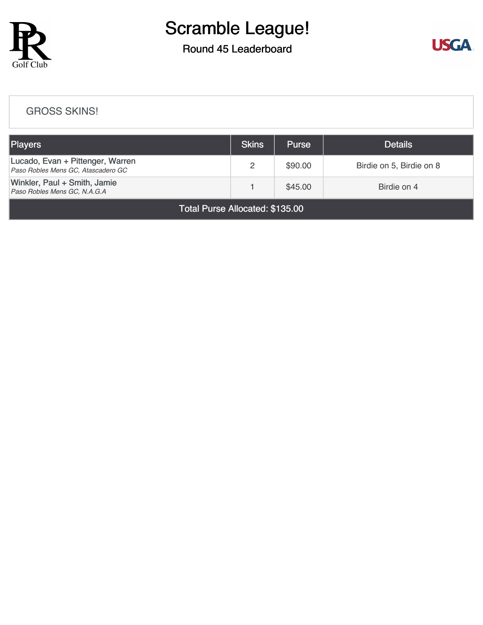

## Round 45 Leaderboard



#### [GROSS SKINS!](https://cdn2.golfgenius.com/v2tournaments/8184377581651410891?called_from=&round_index=45)

| <b>Players</b>                                                         | Skins | <b>Purse</b> | <b>Details</b>           |
|------------------------------------------------------------------------|-------|--------------|--------------------------|
| Lucado, Evan + Pittenger, Warren<br>Paso Robles Mens GC, Atascadero GC |       | \$90.00      | Birdie on 5, Birdie on 8 |
| Winkler, Paul + Smith, Jamie<br>Paso Robles Mens GC, N.A.G.A           |       | \$45.00      | Birdie on 4              |

Total Purse Allocated: \$135.00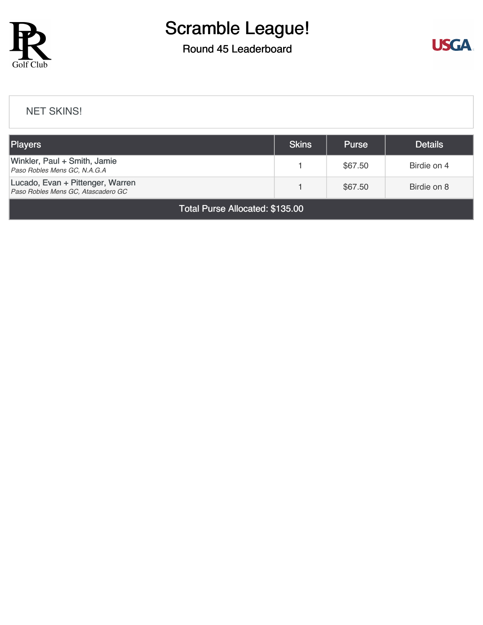

## Round 45 Leaderboard



#### [NET SKINS!](https://cdn2.golfgenius.com/v2tournaments/8184378612879769548?called_from=&round_index=45)

| <b>Players</b>                                                         | <b>Skins</b> | <b>Purse</b> | <b>Details</b> |  |  |
|------------------------------------------------------------------------|--------------|--------------|----------------|--|--|
| Winkler, Paul + Smith, Jamie<br>Paso Robles Mens GC, N.A.G.A           |              | \$67.50      | Birdie on 4    |  |  |
| Lucado, Evan + Pittenger, Warren<br>Paso Robles Mens GC, Atascadero GC |              | \$67.50      | Birdie on 8    |  |  |
| $T_{\text{old}}$ D <sub>ream</sub> Allenated, $\triangle A$ OF OO      |              |              |                |  |  |

Total Purse Allocated: \$135.00